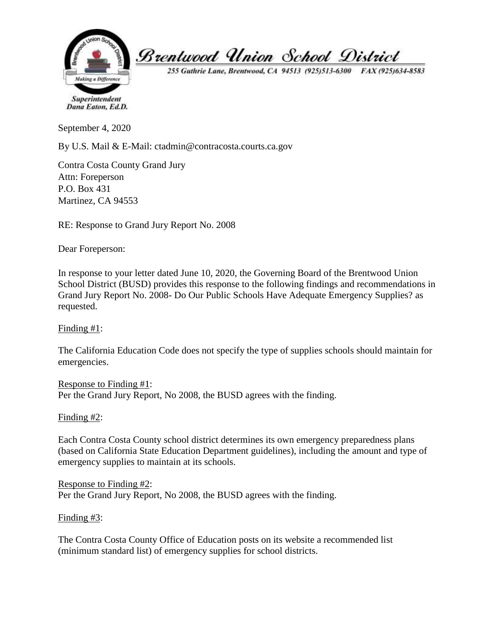

255 Guthrie Lane, Brentwood, CA 94513 (925)513-6300 FAX (925)634-8583

Superintendent Dana Eaton, Ed.D.

September 4, 2020

By U.S. Mail & E-Mail: ctadmin@contracosta.courts.ca.gov

Contra Costa County Grand Jury Attn: Foreperson P.O. Box 431 Martinez, CA 94553

RE: Response to Grand Jury Report No. 2008

Dear Foreperson:

In response to your letter dated June 10, 2020, the Governing Board of the Brentwood Union School District (BUSD) provides this response to the following findings and recommendations in Grand Jury Report No. 2008- Do Our Public Schools Have Adequate Emergency Supplies? as requested.

Finding #1:

The California Education Code does not specify the type of supplies schools should maintain for emergencies.

Response to Finding #1: Per the Grand Jury Report, No 2008, the BUSD agrees with the finding.

Finding #2:

Each Contra Costa County school district determines its own emergency preparedness plans (based on California State Education Department guidelines), including the amount and type of emergency supplies to maintain at its schools.

Response to Finding #2: Per the Grand Jury Report, No 2008, the BUSD agrees with the finding.

Finding #3:

The Contra Costa County Office of Education posts on its website a recommended list (minimum standard list) of emergency supplies for school districts.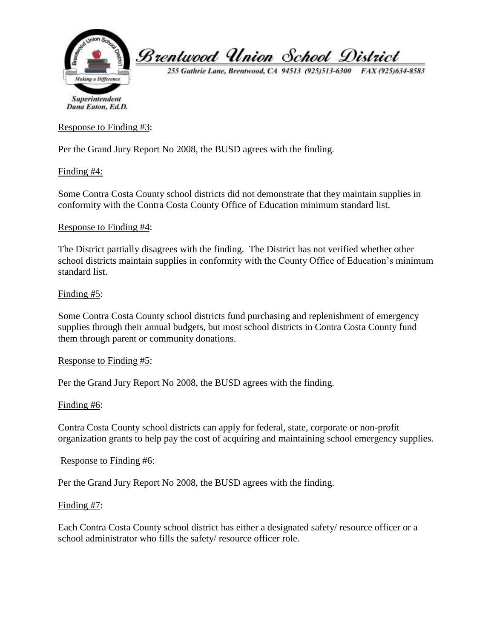

255 Guthrie Lane, Brentwood, CA 94513 (925)513-6300 FAX (925)634-8583

Dana Eaton, Ed.D.

Response to Finding #3:

Per the Grand Jury Report No 2008, the BUSD agrees with the finding.

Finding #4:

Some Contra Costa County school districts did not demonstrate that they maintain supplies in conformity with the Contra Costa County Office of Education minimum standard list.

#### Response to Finding #4:

The District partially disagrees with the finding. The District has not verified whether other school districts maintain supplies in conformity with the County Office of Education's minimum standard list.

## Finding #5:

Some Contra Costa County school districts fund purchasing and replenishment of emergency supplies through their annual budgets, but most school districts in Contra Costa County fund them through parent or community donations.

## Response to Finding #5:

Per the Grand Jury Report No 2008, the BUSD agrees with the finding.

## Finding #6:

Contra Costa County school districts can apply for federal, state, corporate or non-profit organization grants to help pay the cost of acquiring and maintaining school emergency supplies.

## Response to Finding #6:

Per the Grand Jury Report No 2008, the BUSD agrees with the finding.

## Finding #7:

Each Contra Costa County school district has either a designated safety/ resource officer or a school administrator who fills the safety/ resource officer role.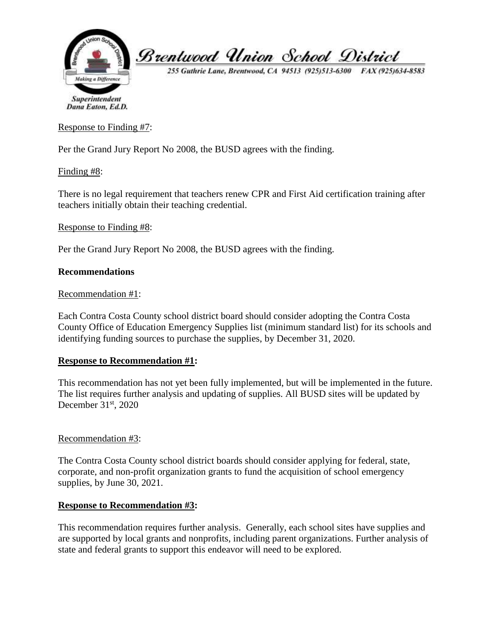

255 Guthrie Lane, Brentwood, CA 94513 (925)513-6300 FAX (925)634-8583

Dana Eaton, Ed.D.

Response to Finding #7:

Per the Grand Jury Report No 2008, the BUSD agrees with the finding.

Finding #8:

There is no legal requirement that teachers renew CPR and First Aid certification training after teachers initially obtain their teaching credential.

## Response to Finding #8:

Per the Grand Jury Report No 2008, the BUSD agrees with the finding.

## **Recommendations**

#### Recommendation #1:

Each Contra Costa County school district board should consider adopting the Contra Costa County Office of Education Emergency Supplies list (minimum standard list) for its schools and identifying funding sources to purchase the supplies, by December 31, 2020.

## **Response to Recommendation #1:**

This recommendation has not yet been fully implemented, but will be implemented in the future. The list requires further analysis and updating of supplies. All BUSD sites will be updated by December  $31<sup>st</sup>$ , 2020

## Recommendation #3:

The Contra Costa County school district boards should consider applying for federal, state, corporate, and non-profit organization grants to fund the acquisition of school emergency supplies, by June 30, 2021.

## **Response to Recommendation #3:**

This recommendation requires further analysis. Generally, each school sites have supplies and are supported by local grants and nonprofits, including parent organizations. Further analysis of state and federal grants to support this endeavor will need to be explored.